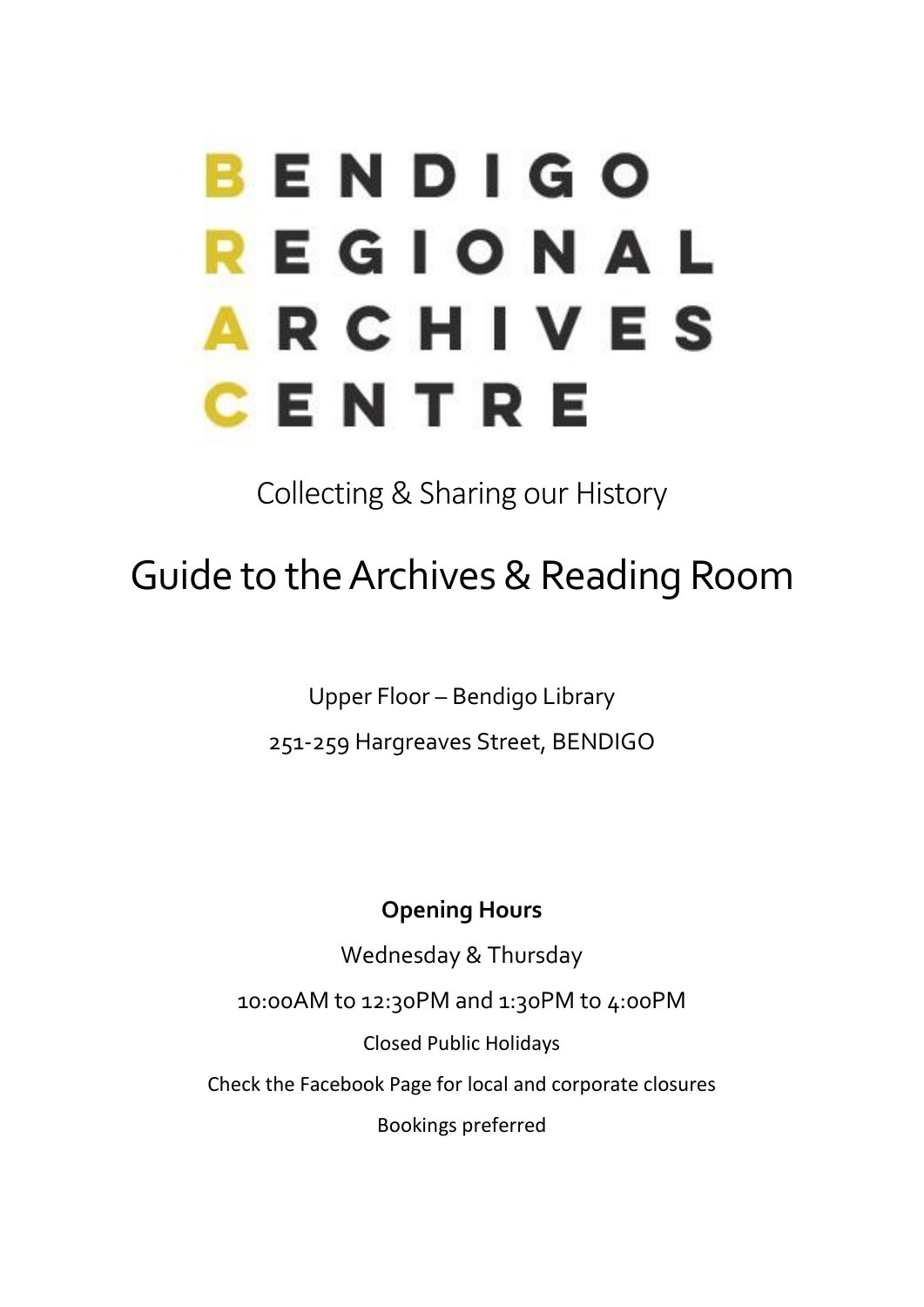# BENDIGO REGIONAL **ARCHIVES** CENTRE

# Collecting & Sharing our History

# Guide to the Archives & Reading Room

Upper Floor – Bendigo Library

251-259 Hargreaves Street, BENDIGO

#### **Opening Hours**

Wednesday & Thursday

10:00AM to 12:30PM and 1:30PM to 4:00PM

Closed Public Holidays

Check the Facebook Page for local and corporate closures

Bookings preferred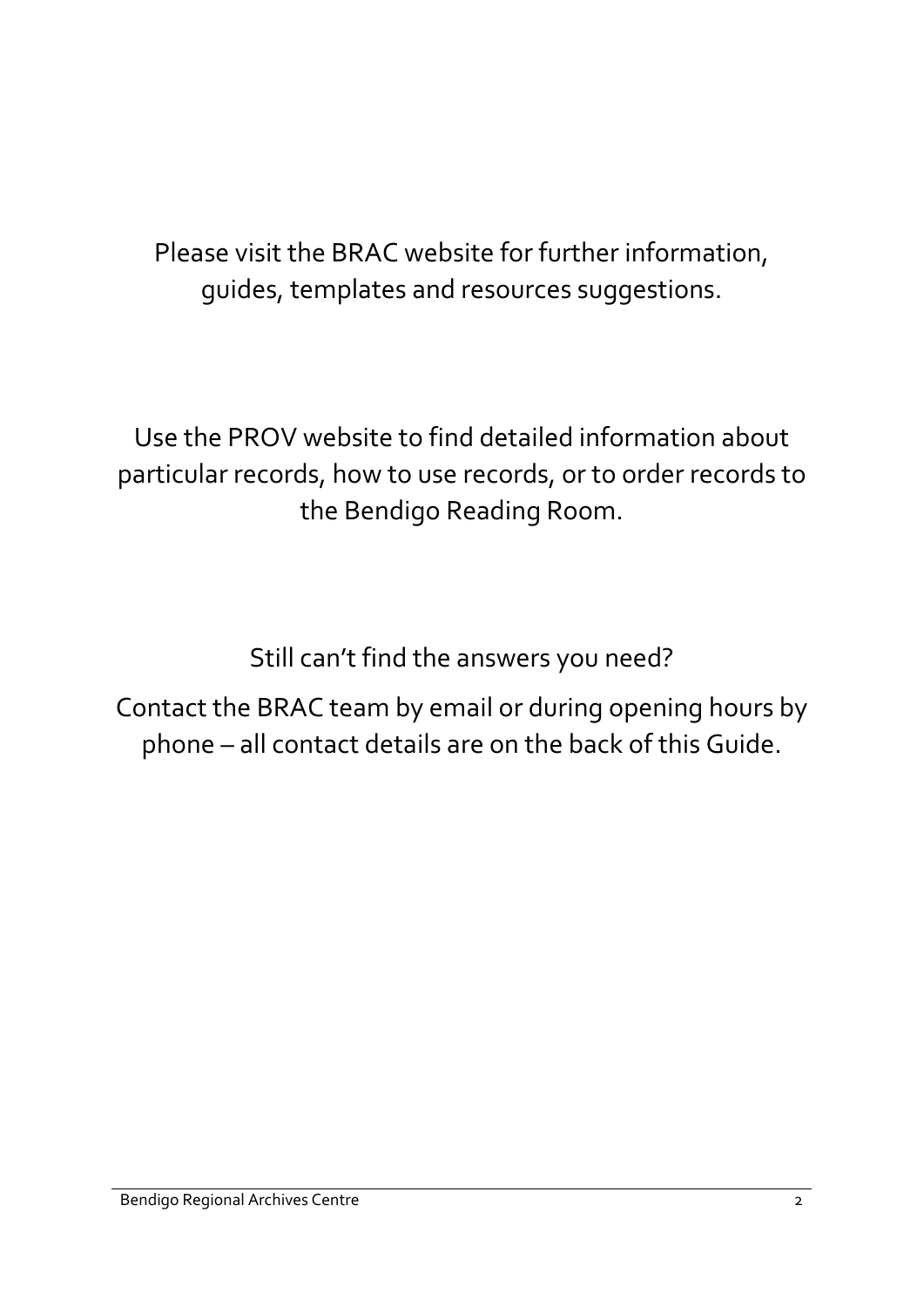# Please visit the BRAC website for further information, guides, templates and resources suggestions.

Use the PROV website to find detailed information about particular records, how to use records, or to order records to the Bendigo Reading Room.

Still can't find the answers you need?

Contact the BRAC team by email or during opening hours by phone – all contact details are on the back of this Guide.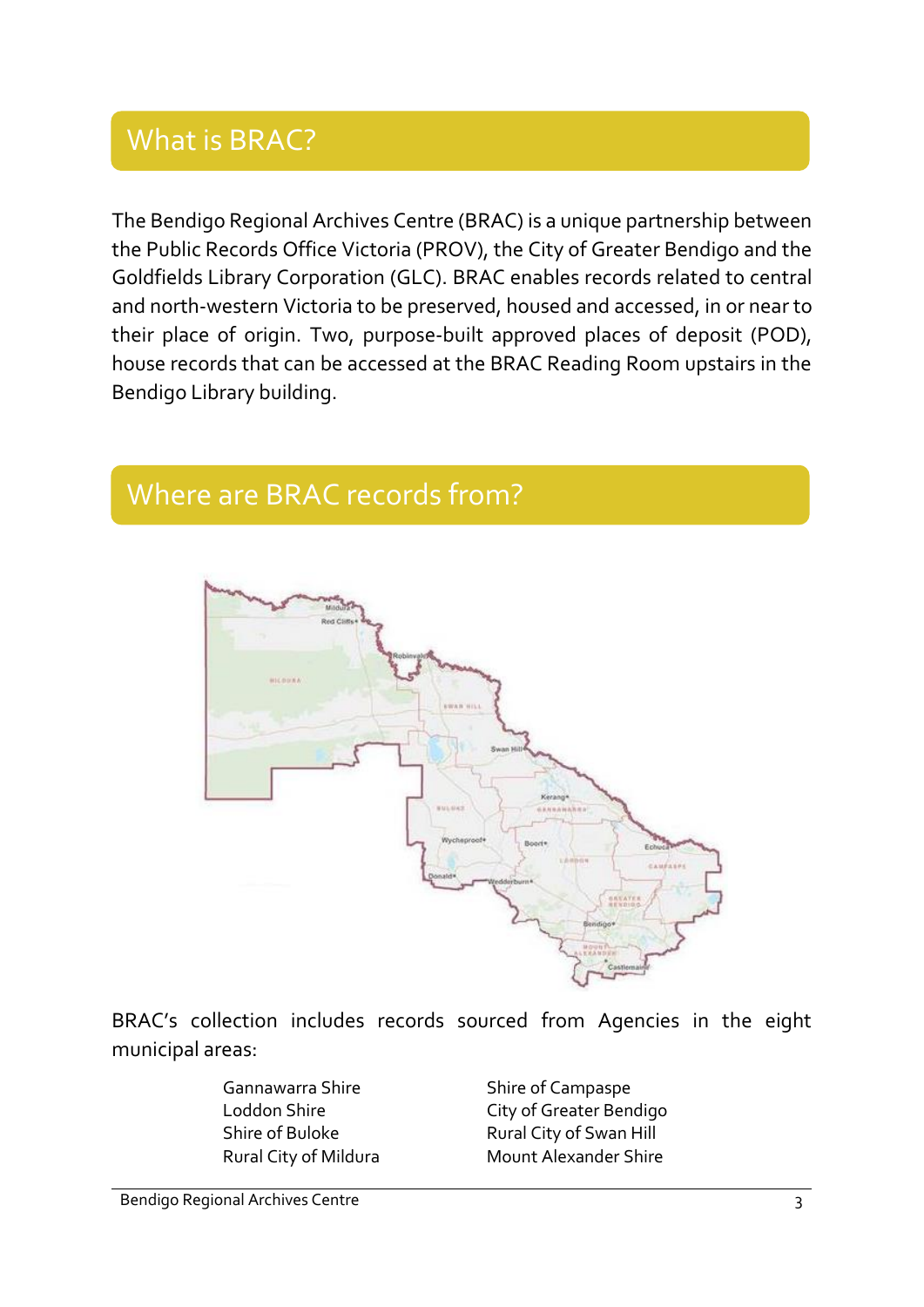# What is BRAC?

The Bendigo Regional Archives Centre (BRAC) is a unique partnership between the Public Records Office Victoria (PROV), the City of Greater Bendigo and the Goldfields Library Corporation (GLC). BRAC enables records related to central and north-western Victoria to be preserved, housed and accessed, in or near to their place of origin. Two, purpose-built approved places of deposit (POD), house records that can be accessed at the BRAC Reading Room upstairs in the Bendigo Library building.

### Where are BRAC records from?



BRAC's collection includes records sourced from Agencies in the eight municipal areas:

Gannawarra Shire Shire Shire of Campaspe

Loddon Shire City of Greater Bendigo Shire of Buloke Rural City of Swan Hill Rural City of Mildura Mount Alexander Shire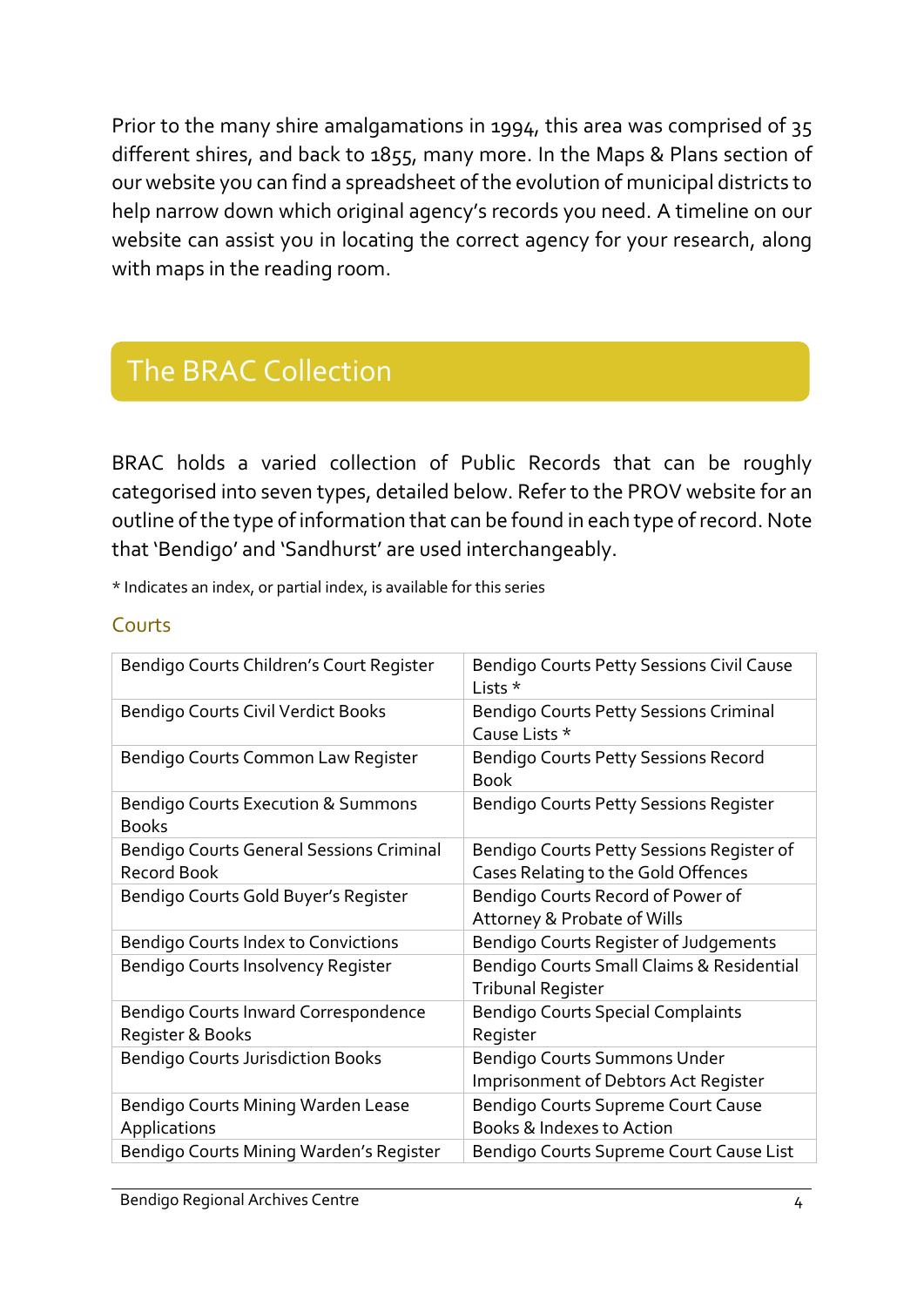Prior to the many shire amalgamations in 1994, this area was comprised of 35 different shires, and back to 1855, many more. In the Maps & Plans section of our website you can find a spreadsheet of the evolution of municipal districts to help narrow down which original agency's records you need. A timeline on our website can assist you in locating the correct agency for your research, along with maps in the reading room.

# The BRAC Collection

BRAC holds a varied collection of Public Records that can be roughly categorised into seven types, detailed below. Refer to the PROV website for an outline of the type of information that can be found in each type of record. Note that 'Bendigo' and 'Sandhurst' are used interchangeably.

\* Indicates an index, or partial index, is available for this series

#### Courts

| Bendigo Courts Children's Court Register                       | Bendigo Courts Petty Sessions Civil Cause<br>Lists *                             |
|----------------------------------------------------------------|----------------------------------------------------------------------------------|
| Bendigo Courts Civil Verdict Books                             | <b>Bendigo Courts Petty Sessions Criminal</b><br>Cause Lists *                   |
| Bendigo Courts Common Law Register                             | <b>Bendigo Courts Petty Sessions Record</b><br><b>Book</b>                       |
| <b>Bendigo Courts Execution &amp; Summons</b><br><b>Books</b>  | Bendigo Courts Petty Sessions Register                                           |
| <b>Bendigo Courts General Sessions Criminal</b><br>Record Book | Bendigo Courts Petty Sessions Register of<br>Cases Relating to the Gold Offences |
| Bendigo Courts Gold Buyer's Register                           | Bendigo Courts Record of Power of<br>Attorney & Probate of Wills                 |
| Bendigo Courts Index to Convictions                            | Bendigo Courts Register of Judgements                                            |
| Bendigo Courts Insolvency Register                             | Bendigo Courts Small Claims & Residential<br>Tribunal Register                   |
| Bendigo Courts Inward Correspondence<br>Register & Books       | <b>Bendigo Courts Special Complaints</b><br>Register                             |
| <b>Bendigo Courts Jurisdiction Books</b>                       | Bendigo Courts Summons Under<br><b>Imprisonment of Debtors Act Register</b>      |
| Bendigo Courts Mining Warden Lease<br>Applications             | Bendigo Courts Supreme Court Cause<br>Books & Indexes to Action                  |
| Bendigo Courts Mining Warden's Register                        | Bendigo Courts Supreme Court Cause List                                          |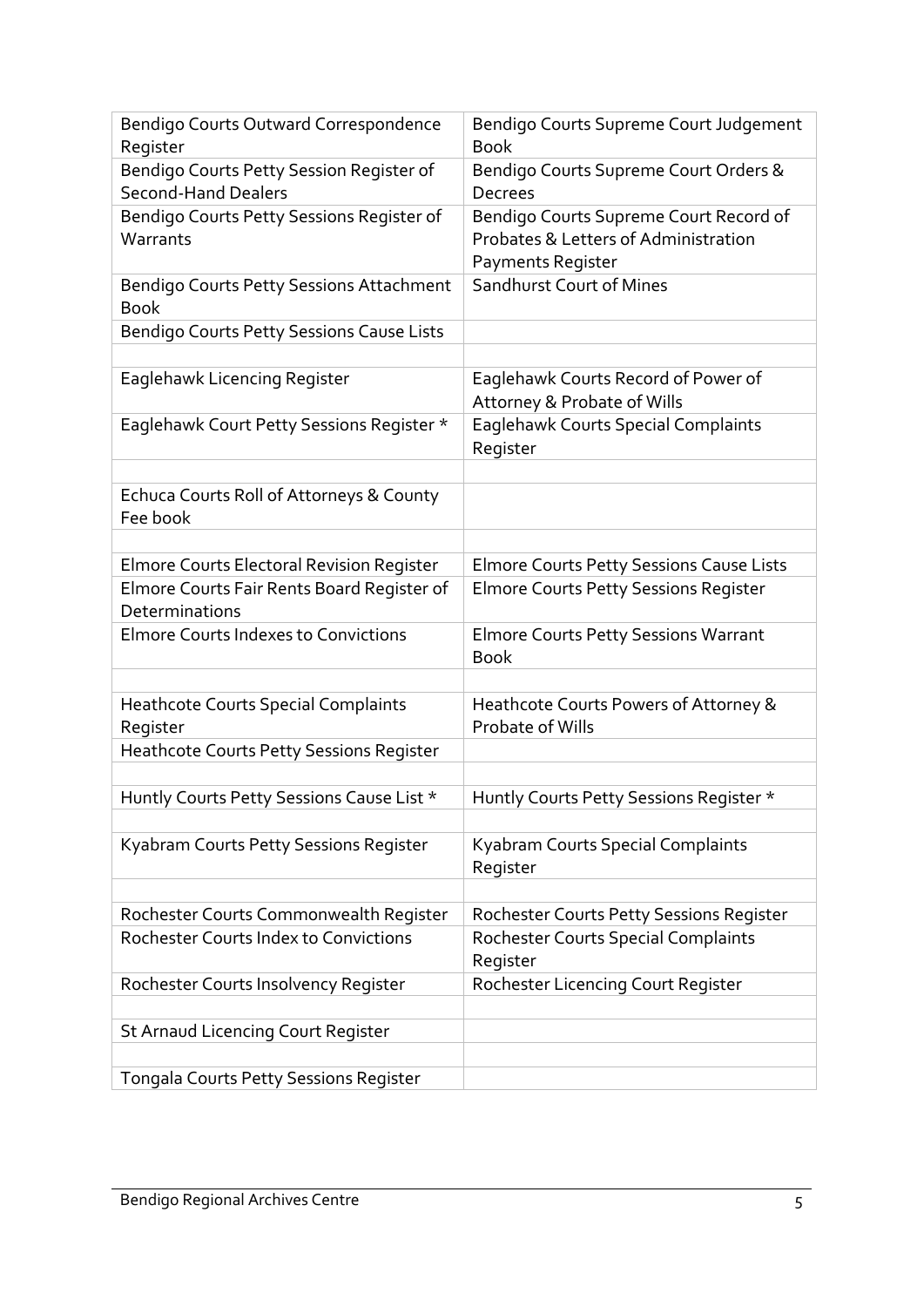| Bendigo Courts Outward Correspondence<br>Register                      | Bendigo Courts Supreme Court Judgement<br><b>Book</b>                                               |
|------------------------------------------------------------------------|-----------------------------------------------------------------------------------------------------|
| Bendigo Courts Petty Session Register of<br><b>Second-Hand Dealers</b> | Bendigo Courts Supreme Court Orders &<br><b>Decrees</b>                                             |
| Bendigo Courts Petty Sessions Register of<br>Warrants                  | Bendigo Courts Supreme Court Record of<br>Probates & Letters of Administration<br>Payments Register |
| Bendigo Courts Petty Sessions Attachment<br><b>Book</b>                | Sandhurst Court of Mines                                                                            |
| Bendigo Courts Petty Sessions Cause Lists                              |                                                                                                     |
|                                                                        |                                                                                                     |
| Eaglehawk Licencing Register                                           | Eaglehawk Courts Record of Power of<br>Attorney & Probate of Wills                                  |
| Eaglehawk Court Petty Sessions Register *                              | Eaglehawk Courts Special Complaints<br>Register                                                     |
|                                                                        |                                                                                                     |
| Echuca Courts Roll of Attorneys & County<br>Fee book                   |                                                                                                     |
|                                                                        |                                                                                                     |
| Elmore Courts Electoral Revision Register                              | <b>Elmore Courts Petty Sessions Cause Lists</b>                                                     |
| Elmore Courts Fair Rents Board Register of<br>Determinations           | Elmore Courts Petty Sessions Register                                                               |
| <b>Elmore Courts Indexes to Convictions</b>                            | <b>Elmore Courts Petty Sessions Warrant</b><br><b>Book</b>                                          |
|                                                                        |                                                                                                     |
| <b>Heathcote Courts Special Complaints</b><br>Register                 | Heathcote Courts Powers of Attorney &<br>Probate of Wills                                           |
| Heathcote Courts Petty Sessions Register                               |                                                                                                     |
|                                                                        |                                                                                                     |
| Huntly Courts Petty Sessions Cause List *                              | Huntly Courts Petty Sessions Register *                                                             |
|                                                                        |                                                                                                     |
| Kyabram Courts Petty Sessions Register                                 | Kyabram Courts Special Complaints<br>Register                                                       |
|                                                                        |                                                                                                     |
| Rochester Courts Commonwealth Register                                 | Rochester Courts Petty Sessions Register                                                            |
| <b>Rochester Courts Index to Convictions</b>                           | <b>Rochester Courts Special Complaints</b><br>Register                                              |
| Rochester Courts Insolvency Register                                   | Rochester Licencing Court Register                                                                  |
|                                                                        |                                                                                                     |
| St Arnaud Licencing Court Register                                     |                                                                                                     |
|                                                                        |                                                                                                     |
| Tongala Courts Petty Sessions Register                                 |                                                                                                     |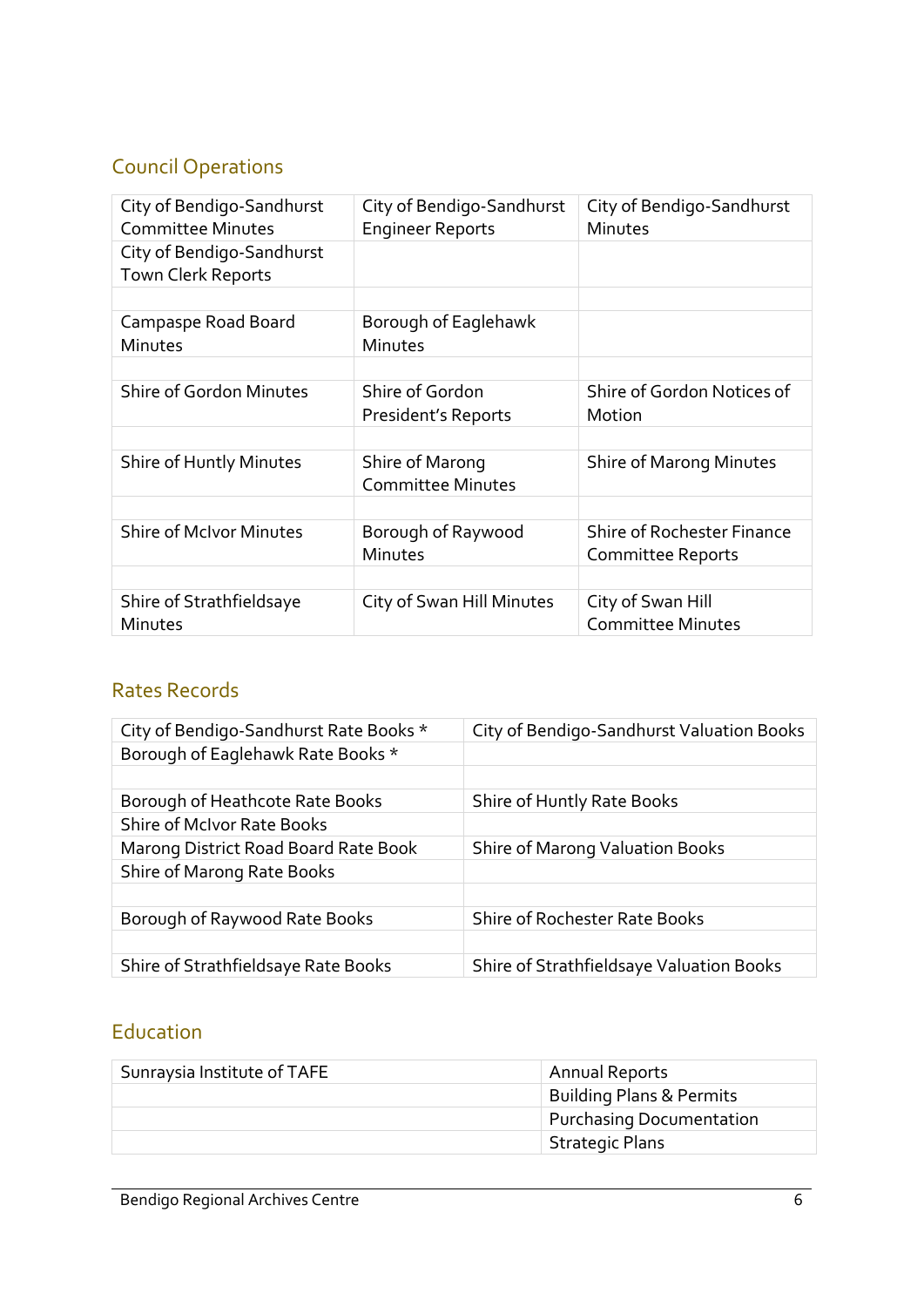#### Council Operations

| City of Bendigo-Sandhurst<br><b>Committee Minutes</b> | City of Bendigo-Sandhurst<br><b>Engineer Reports</b> | City of Bendigo-Sandhurst<br>Minutes                          |
|-------------------------------------------------------|------------------------------------------------------|---------------------------------------------------------------|
| City of Bendigo-Sandhurst<br>Town Clerk Reports       |                                                      |                                                               |
|                                                       |                                                      |                                                               |
| Campaspe Road Board<br>Minutes                        | Borough of Eaglehawk<br>Minutes                      |                                                               |
|                                                       |                                                      |                                                               |
| <b>Shire of Gordon Minutes</b>                        | Shire of Gordon<br>President's Reports               | Shire of Gordon Notices of<br>Motion                          |
|                                                       |                                                      |                                                               |
| Shire of Huntly Minutes                               | Shire of Marong<br><b>Committee Minutes</b>          | <b>Shire of Marong Minutes</b>                                |
|                                                       |                                                      |                                                               |
| <b>Shire of McIvor Minutes</b>                        | Borough of Raywood<br>Minutes                        | <b>Shire of Rochester Finance</b><br><b>Committee Reports</b> |
|                                                       |                                                      |                                                               |
| Shire of Strathfieldsaye<br><b>Minutes</b>            | City of Swan Hill Minutes                            | City of Swan Hill<br><b>Committee Minutes</b>                 |

#### Rates Records

| City of Bendigo-Sandhurst Rate Books * | City of Bendigo-Sandhurst Valuation Books |
|----------------------------------------|-------------------------------------------|
| Borough of Eaglehawk Rate Books *      |                                           |
|                                        |                                           |
| Borough of Heathcote Rate Books        | Shire of Huntly Rate Books                |
| <b>Shire of McIvor Rate Books</b>      |                                           |
| Marong District Road Board Rate Book   | Shire of Marong Valuation Books           |
| Shire of Marong Rate Books             |                                           |
|                                        |                                           |
| Borough of Raywood Rate Books          | <b>Shire of Rochester Rate Books</b>      |
|                                        |                                           |
| Shire of Strathfieldsaye Rate Books    | Shire of Strathfieldsaye Valuation Books  |

#### Education

| Sunraysia Institute of TAFE | Annual Reports                      |
|-----------------------------|-------------------------------------|
|                             | <b>Building Plans &amp; Permits</b> |
|                             | <b>Purchasing Documentation</b>     |
|                             | <b>Strategic Plans</b>              |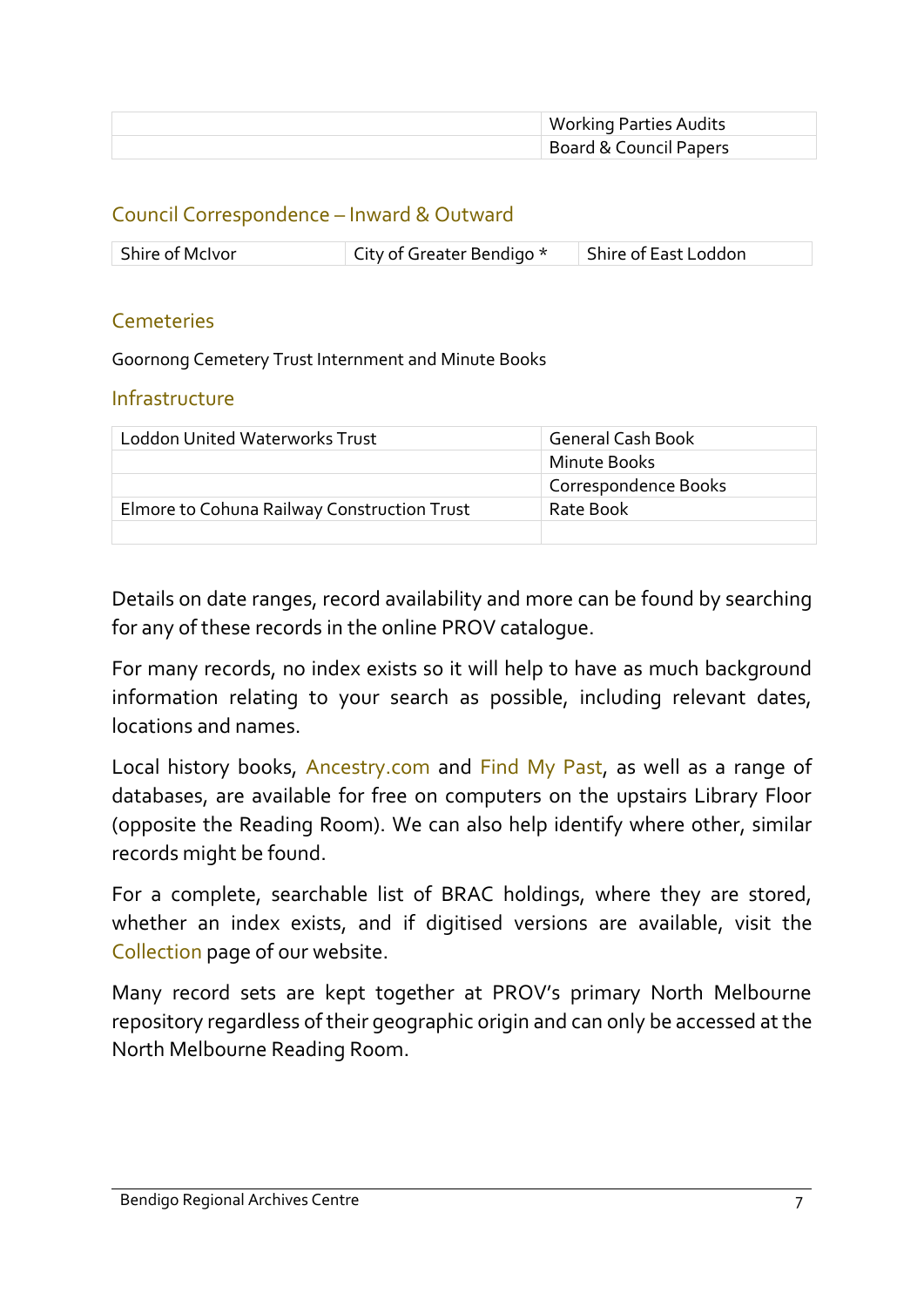| <b>Working Parties Audits</b> |
|-------------------------------|
| Board & Council Papers        |

#### Council Correspondence – Inward & Outward

| Shire of McIvor | $\parallel$ City of Greater Bendigo $^{\star}$ | Shire of East Loddon |
|-----------------|------------------------------------------------|----------------------|

#### Cemeteries

Goornong Cemetery Trust Internment and Minute Books

#### Infrastructure

| <b>Loddon United Waterworks Trust</b>       | <b>General Cash Book</b> |
|---------------------------------------------|--------------------------|
|                                             | Minute Books             |
|                                             | Correspondence Books     |
| Elmore to Cohuna Railway Construction Trust | Rate Book                |
|                                             |                          |

Details on date ranges, record availability and more can be found by searching for any of these records in the online PROV catalogue.

For many records, no index exists so it will help to have as much background information relating to your search as possible, including relevant dates, locations and names.

Local history books, Ancestry.com and Find My Past, as well as a range of databases, are available for free on computers on the upstairs Library Floor (opposite the Reading Room). We can also help identify where other, similar records might be found.

For a complete, searchable list of BRAC holdings, where they are stored, whether an index exists, and if digitised versions are available, visit the Collection page of our website.

Many record sets are kept together at PROV's primary North Melbourne repository regardless of their geographic origin and can only be accessed at the North Melbourne Reading Room.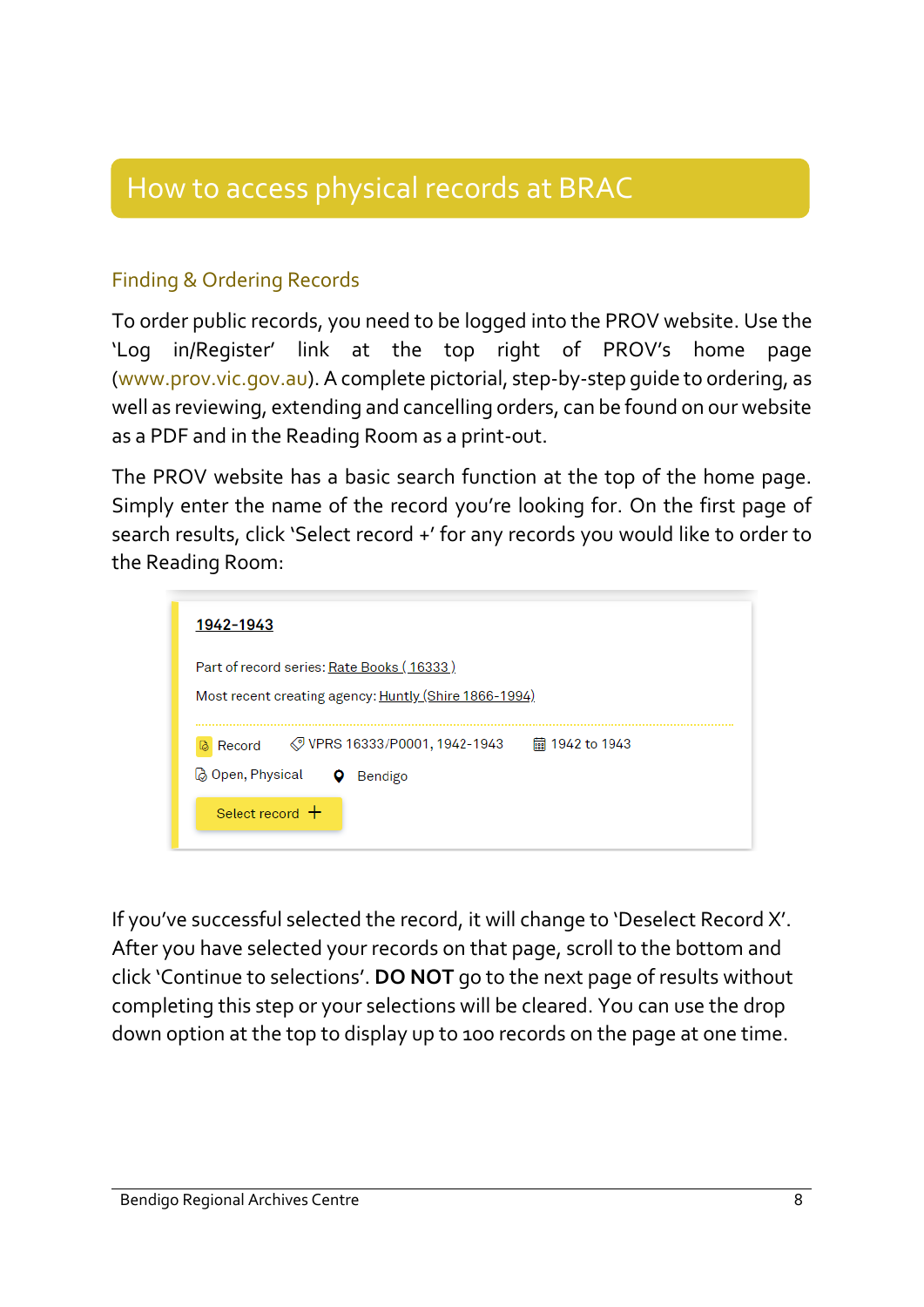# How to access physical records at BRAC

#### Finding & Ordering Records

To order public records, you need to be logged into the PROV website. Use the 'Log in/Register' link at the top right of PROV's home page (www.prov.vic.gov.au). A complete pictorial, step-by-step guide to ordering, as well as reviewing, extending and cancelling orders, can be found on our website as a PDF and in the Reading Room as a print-out.

The PROV website has a basic search function at the top of the home page. Simply enter the name of the record you're looking for. On the first page of search results, click 'Select record +' for any records you would like to order to the Reading Room:



If you've successful selected the record, it will change to 'Deselect Record X'. After you have selected your records on that page, scroll to the bottom and click 'Continue to selections'. **DO NOT** go to the next page of results without completing this step or your selections will be cleared. You can use the drop down option at the top to display up to 100 records on the page at one time.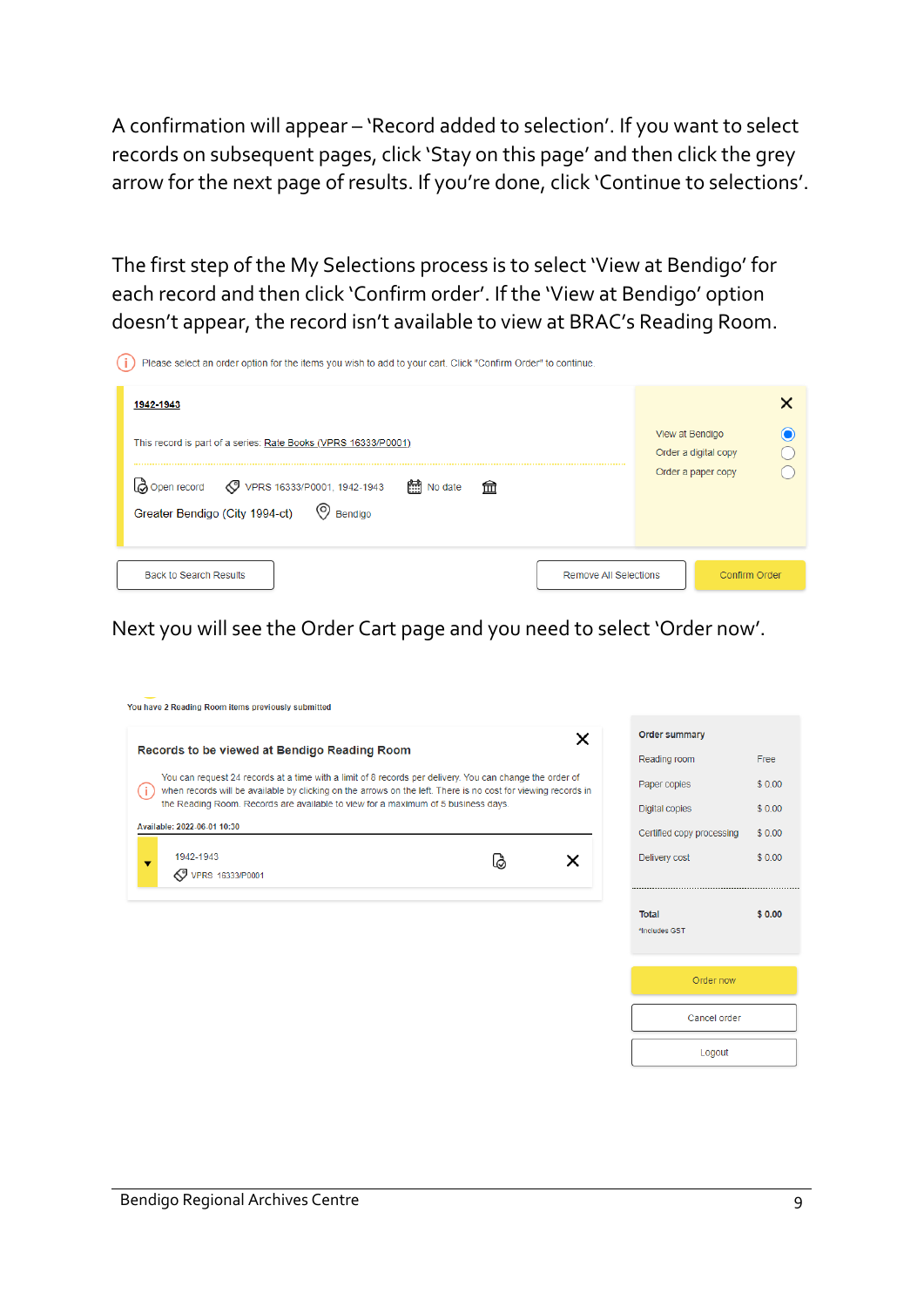A confirmation will appear – 'Record added to selection'. If you want to select records on subsequent pages, click 'Stay on this page' and then click the grey arrow for the next page of results. If you're done, click 'Continue to selections'.

The first step of the My Selections process is to select 'View at Bendigo' for each record and then click 'Confirm order'. If the 'View at Bendigo' option doesn't appear, the record isn't available to view at BRAC's Reading Room.

| Please select an order option for the items you wish to add to your cart. Click "Confirm Order" to continue.                    |                                         |
|---------------------------------------------------------------------------------------------------------------------------------|-----------------------------------------|
| 1942-1943                                                                                                                       |                                         |
| This record is part of a series: Rate Books (VPRS 16333/P0001)                                                                  | View at Bendigo<br>Order a digital copy |
| <b>B</b> Open record <b>S</b> VPRS 16333/P0001, 1942-1943<br><b>No date</b><br>孟<br>Greater Bendigo (City 1994-ct)<br>© Bendigo | Order a paper copy                      |
| <b>Back to Search Results</b><br><b>Remove All Selections</b>                                                                   | Confirm Order                           |

Next you will see the Order Cart page and you need to select 'Order now'.

| You have 2 Reading Room items previously submitted                                                                                                                                                                        |    |   |                               |        |
|---------------------------------------------------------------------------------------------------------------------------------------------------------------------------------------------------------------------------|----|---|-------------------------------|--------|
|                                                                                                                                                                                                                           |    | × | <b>Order summary</b>          |        |
| Records to be viewed at Bendigo Reading Room                                                                                                                                                                              |    |   | Reading room                  | Free   |
| You can request 24 records at a time with a limit of 8 records per delivery. You can change the order of<br>when records will be available by clicking on the arrows on the left. There is no cost for viewing records in |    |   | Paper copies                  | \$0.00 |
| the Reading Room. Records are available to view for a maximum of 5 business days.                                                                                                                                         |    |   | Digital copies                | \$0.00 |
| Available: 2022-06-01 10:30                                                                                                                                                                                               |    |   | Certified copy processing     | \$0.00 |
| 1942-1943<br>▼                                                                                                                                                                                                            | ڦا | x | Delivery cost                 | \$0.00 |
| VPRS 16333/P0001                                                                                                                                                                                                          |    |   |                               |        |
|                                                                                                                                                                                                                           |    |   |                               |        |
|                                                                                                                                                                                                                           |    |   | <b>Total</b><br>*Includes GST | \$0.00 |
|                                                                                                                                                                                                                           |    |   |                               |        |
|                                                                                                                                                                                                                           |    |   | Order now                     |        |
|                                                                                                                                                                                                                           |    |   | Cancel order                  |        |
|                                                                                                                                                                                                                           |    |   | Logout                        |        |
|                                                                                                                                                                                                                           |    |   |                               |        |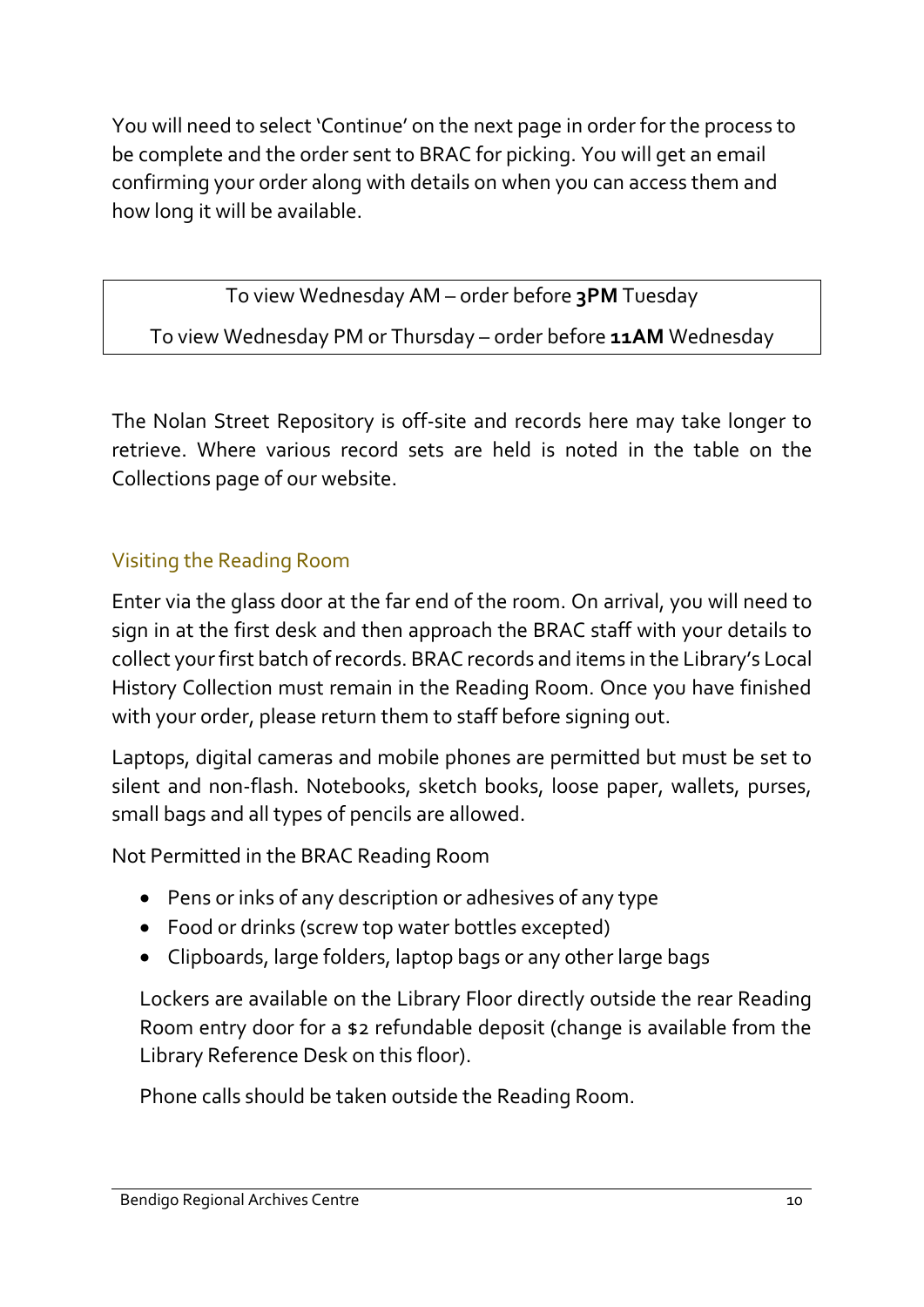You will need to select 'Continue' on the next page in order for the process to be complete and the order sent to BRAC for picking. You will get an email confirming your order along with details on when you can access them and how long it will be available.

To view Wednesday AM – order before **3PM** Tuesday To view Wednesday PM or Thursday – order before **11AM** Wednesday

The Nolan Street Repository is off-site and records here may take longer to retrieve. Where various record sets are held is noted in the table on the Collections page of our website.

#### Visiting the Reading Room

Enter via the glass door at the far end of the room. On arrival, you will need to sign in at the first desk and then approach the BRAC staff with your details to collect your first batch of records. BRAC records and items in the Library's Local History Collection must remain in the Reading Room. Once you have finished with your order, please return them to staff before signing out.

Laptops, digital cameras and mobile phones are permitted but must be set to silent and non-flash. Notebooks, sketch books, loose paper, wallets, purses, small bags and all types of pencils are allowed.

Not Permitted in the BRAC Reading Room

- Pens or inks of any description or adhesives of any type
- Food or drinks (screw top water bottles excepted)
- Clipboards, large folders, laptop bags or any other large bags

Lockers are available on the Library Floor directly outside the rear Reading Room entry door for a \$2 refundable deposit (change is available from the Library Reference Desk on this floor).

Phone calls should be taken outside the Reading Room.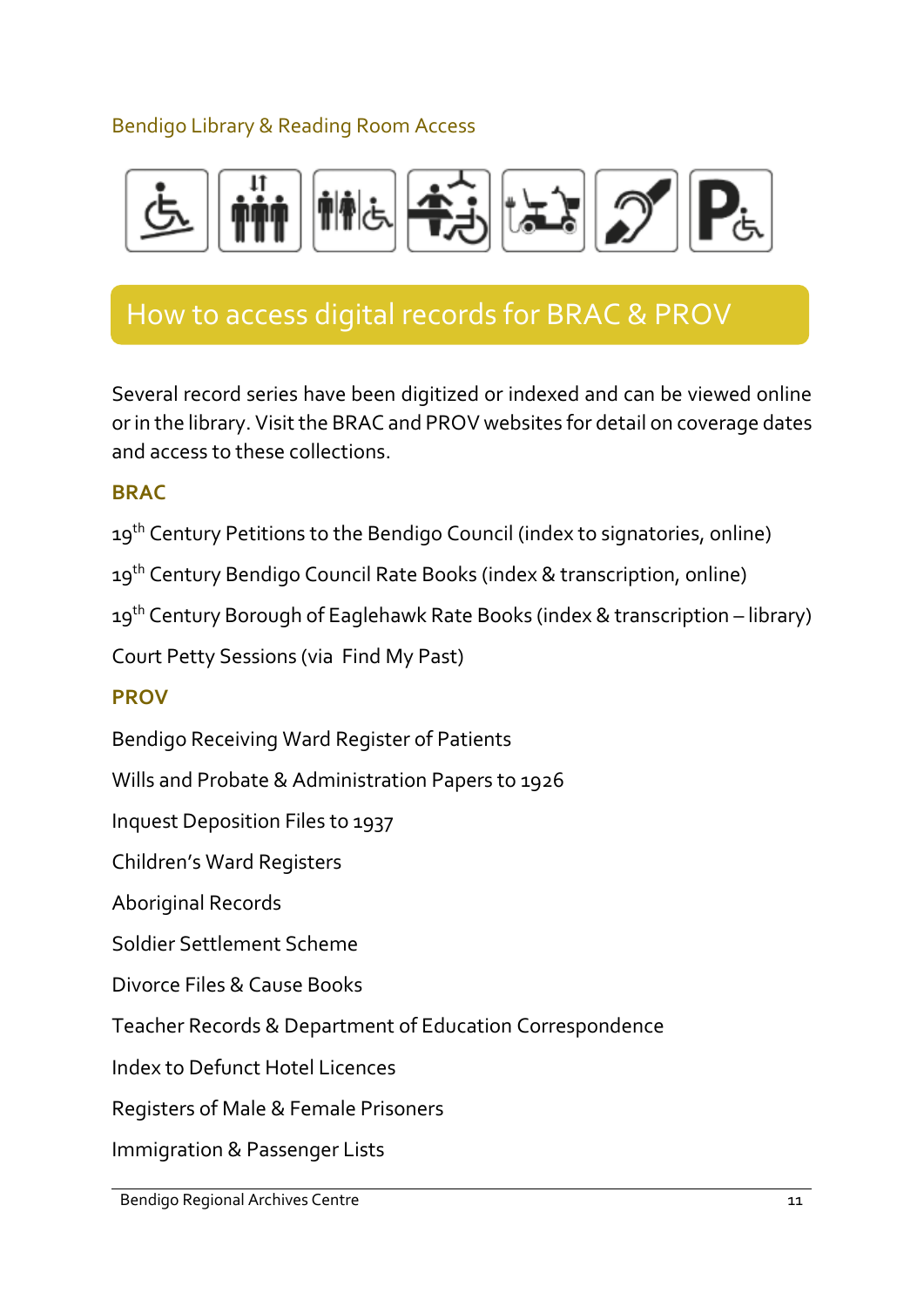#### Bendigo Library & Reading Room Access



# How to access digital records for BRAC & PROV

Several record series have been digitized or indexed and can be viewed online or in the library. Visit the BRAC and PROV websites for detail on coverage dates and access to these collections.

#### **BRAC**

19<sup>th</sup> Century Petitions to the Bendigo Council (index to signatories, online)

19<sup>th</sup> Century Bendigo Council Rate Books (index & transcription, online)

19<sup>th</sup> Century Borough of Eaglehawk Rate Books (index & transcription – library)

Court Petty Sessions (via Find My Past)

#### **PROV**

Bendigo Receiving Ward Register of Patients

Wills and Probate & Administration Papers to 1926

Inquest Deposition Files to 1937

Children's Ward Registers

Aboriginal Records

Soldier Settlement Scheme

Divorce Files & Cause Books

Teacher Records & Department of Education Correspondence

Index to Defunct Hotel Licences

Registers of Male & Female Prisoners

Immigration & Passenger Lists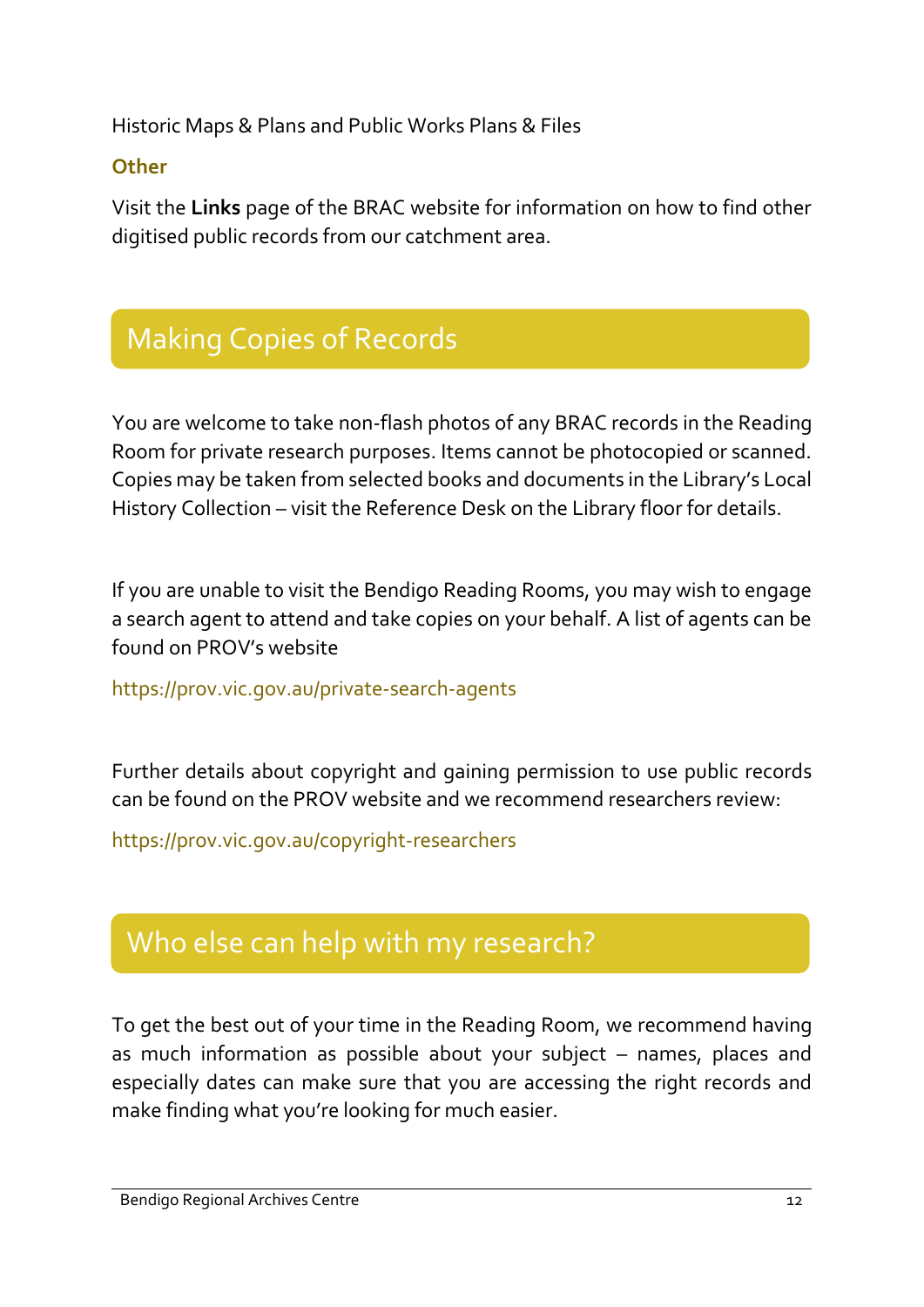Historic Maps & Plans and Public Works Plans & Files

#### **Other**

Visit the **Links** page of the BRAC website for information on how to find other digitised public records from our catchment area.

# Making Copies of Records

You are welcome to take non-flash photos of any BRAC records in the Reading Room for private research purposes. Items cannot be photocopied or scanned. Copies may be taken from selected books and documents in the Library's Local History Collection – visit the Reference Desk on the Library floor for details.

If you are unable to visit the Bendigo Reading Rooms, you may wish to engage a search agent to attend and take copies on your behalf. A list of agents can be found on PROV's website

https://prov.vic.gov.au/private-search-agents

Further details about copyright and gaining permission to use public records can be found on the PROV website and we recommend researchers review:

https://prov.vic.gov.au/copyright-researchers

# Who else can help with my research?

To get the best out of your time in the Reading Room, we recommend having as much information as possible about your subject – names, places and especially dates can make sure that you are accessing the right records and make finding what you're looking for much easier.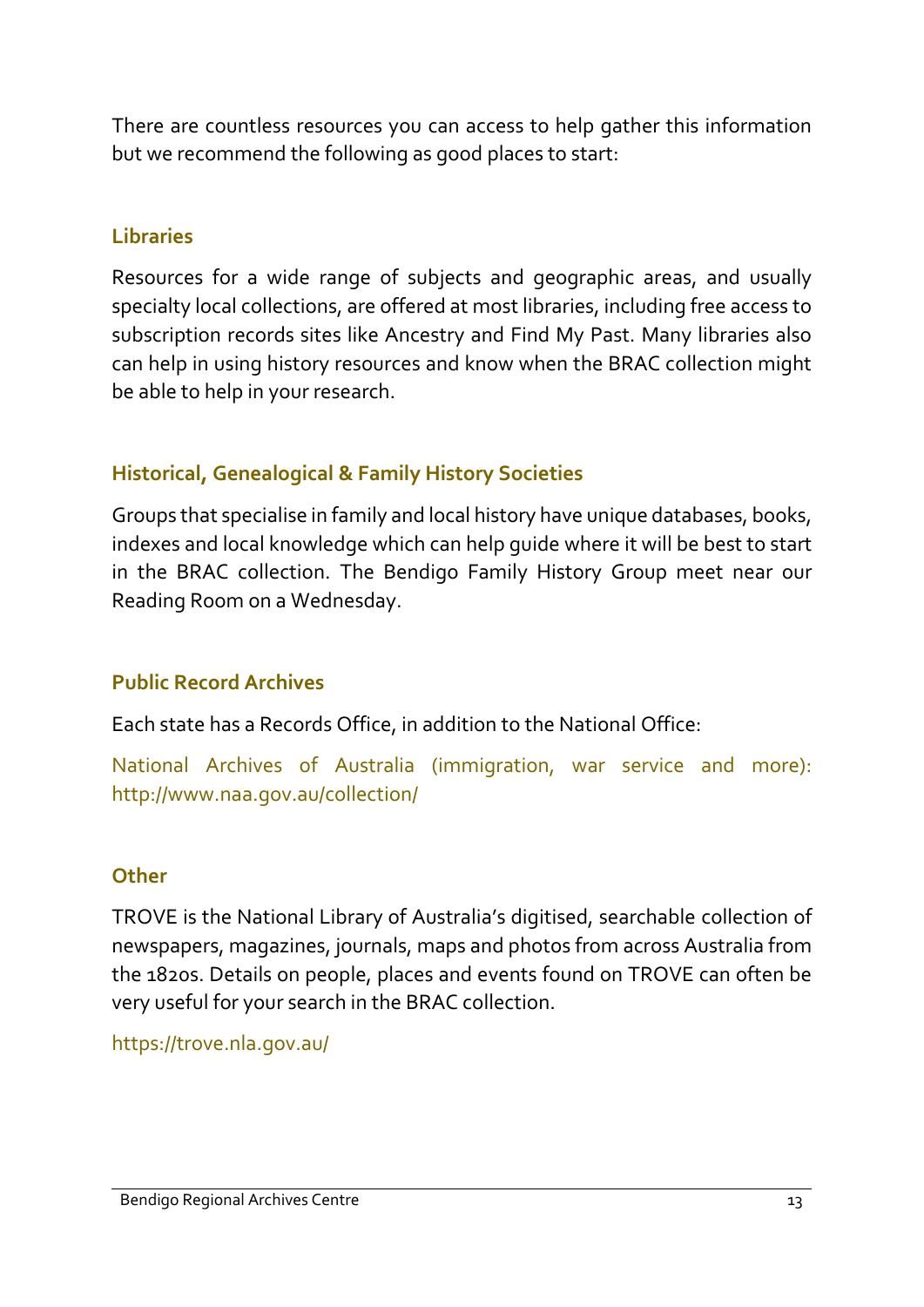There are countless resources you can access to help gather this information but we recommend the following as good places to start:

#### **Libraries**

Resources for a wide range of subjects and geographic areas, and usually specialty local collections, are offered at most libraries, including free access to subscription records sites like Ancestry and Find My Past. Many libraries also can help in using history resources and know when the BRAC collection might be able to help in your research.

#### **Historical, Genealogical & Family History Societies**

Groups that specialise in family and local history have unique databases, books, indexes and local knowledge which can help guide where it will be best to start in the BRAC collection. The Bendigo Family History Group meet near our Reading Room on a Wednesday.

#### **Public Record Archives**

Each state has a Records Office, in addition to the National Office:

National Archives of Australia (immigration, war service and more): http://www.naa.gov.au/collection/

#### **Other**

TROVE is the National Library of Australia's digitised, searchable collection of newspapers, magazines, journals, maps and photos from across Australia from the 1820s. Details on people, places and events found on TROVE can often be very useful for your search in the BRAC collection.

https://trove.nla.gov.au/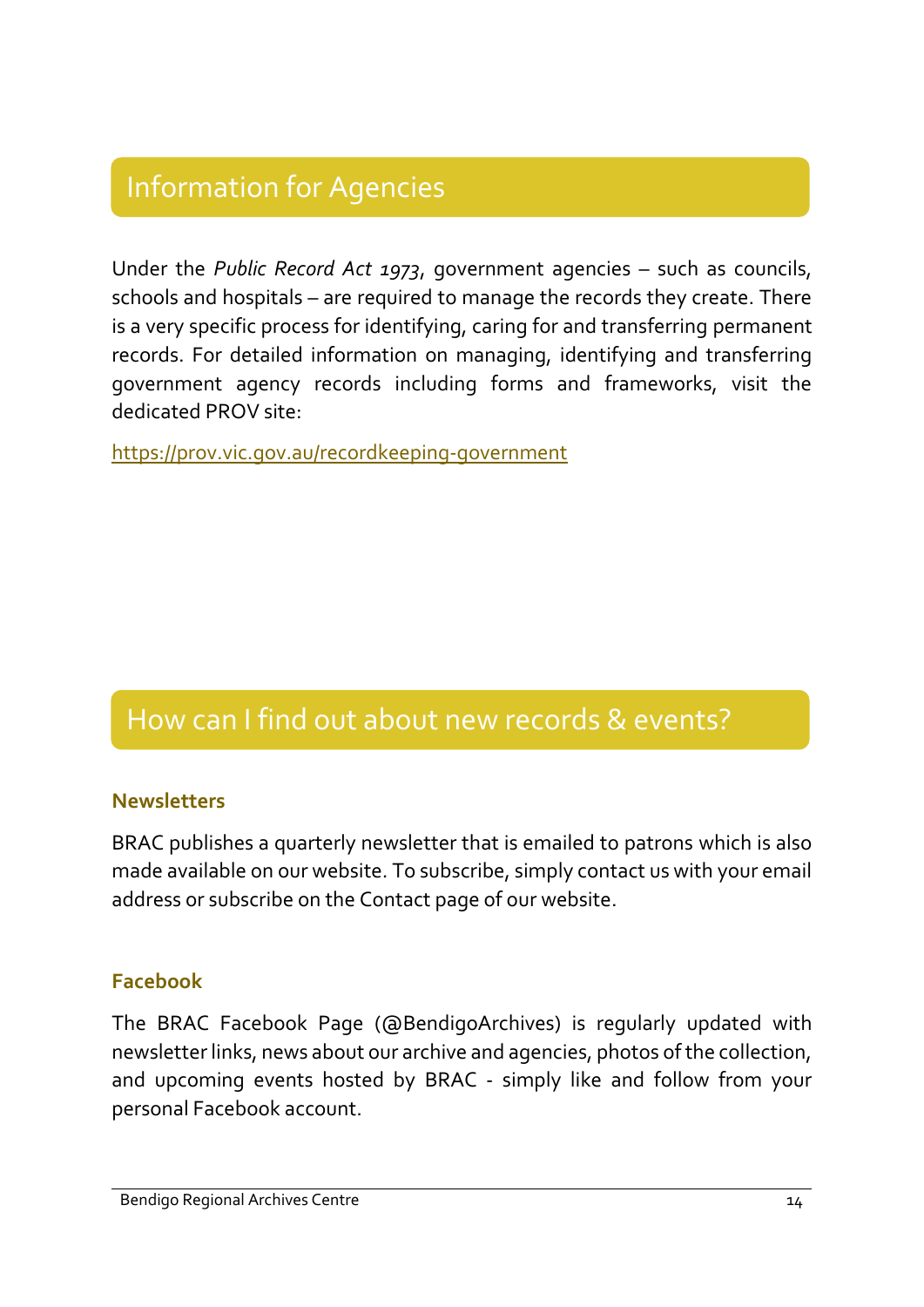# Information for Agencies

Under the *Public Record Act 1973*, government agencies – such as councils, schools and hospitals – are required to manage the records they create. There is a very specific process for identifying, caring for and transferring permanent records. For detailed information on managing, identifying and transferring government agency records including forms and frameworks, visit the dedicated PROV site:

<https://prov.vic.gov.au/recordkeeping-government>

# How can I find out about new records & events?

#### **Newsletters**

BRAC publishes a quarterly newsletter that is emailed to patrons which is also made available on our website. To subscribe, simply contact us with your email address or subscribe on the Contact page of our website.

#### **Facebook**

The BRAC Facebook Page (@BendigoArchives) is regularly updated with newsletter links, news about our archive and agencies, photos of the collection, and upcoming events hosted by BRAC - simply like and follow from your personal Facebook account.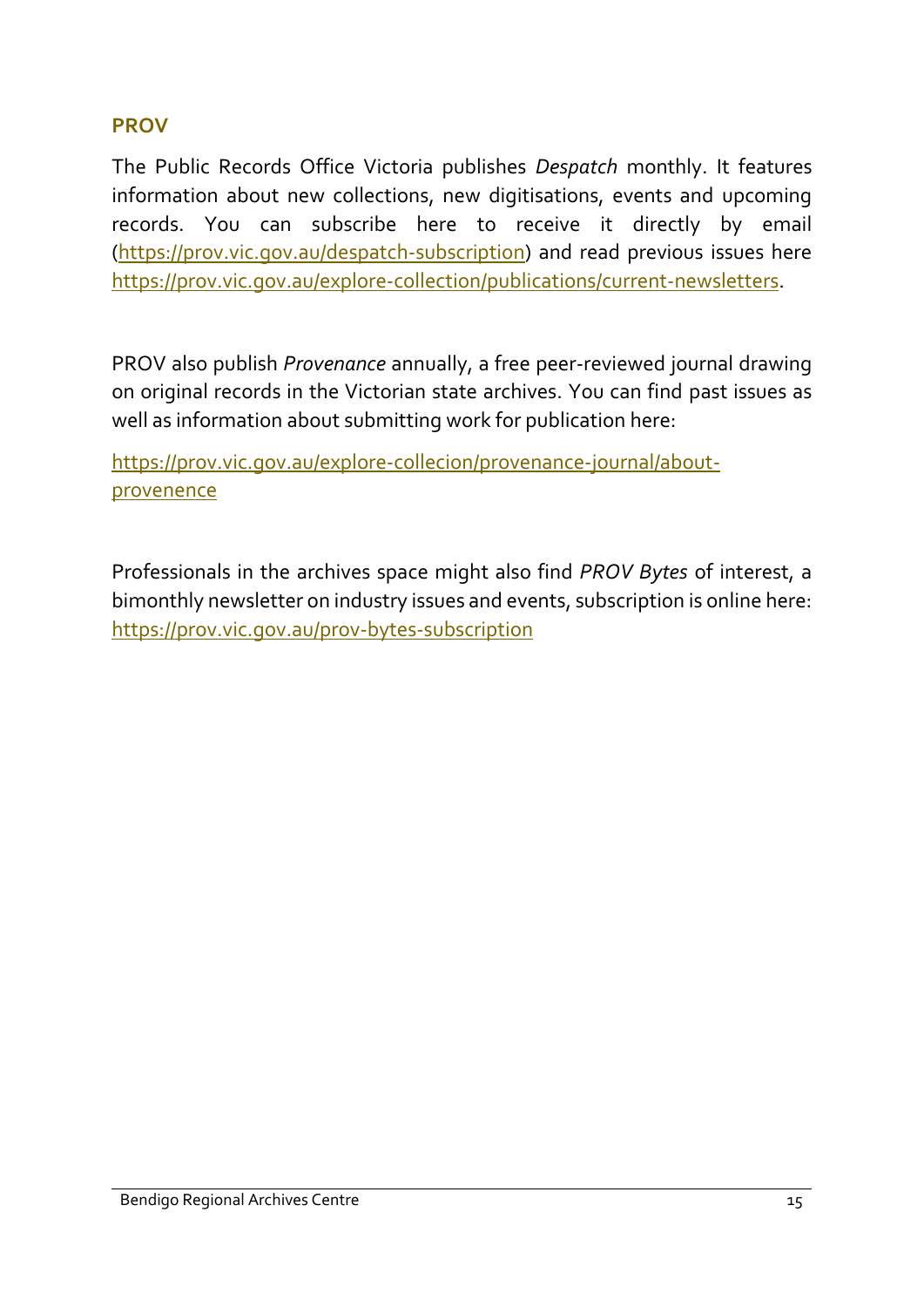#### **PROV**

The Public Records Office Victoria publishes *Despatch* monthly. It features information about new collections, new digitisations, events and upcoming records. You can subscribe here to receive it directly by email [\(https://prov.vic.gov.au/despatch-subscription\)](https://prov.vic.gov.au/despatch-subscription) and read previous issues here [https://prov.vic.gov.au/explore-collection/publications/current-newsletters.](https://prov.vic.gov.au/explore-collection/publications/current-newsletters)

PROV also publish *Provenance* annually, a free peer-reviewed journal drawing on original records in the Victorian state archives. You can find past issues as well as information about submitting work for publication here:

[https://prov.vic.gov.au/explore-collecion/](https://prov.vic.gov.au/prov-bytes-subscription)provenance-journal/aboutprovenence

Professionals in the archives space might also find *PROV Bytes* of interest, a bimonthly newsletter on industry issues and events, subscription is online here: <https://prov.vic.gov.au/prov-bytes-subscription>